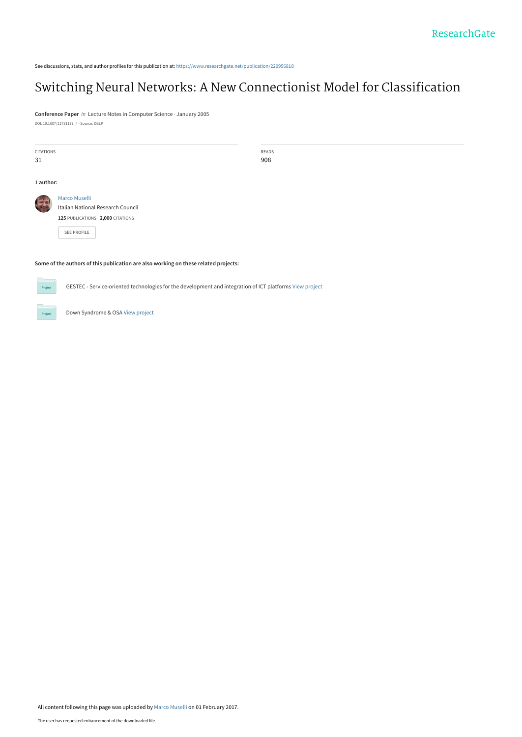See discussions, stats, and author profiles for this publication at: [https://www.researchgate.net/publication/220956818](https://www.researchgate.net/publication/220956818_Switching_Neural_Networks_A_New_Connectionist_Model_for_Classification?enrichId=rgreq-2b4c0714b2242376c78cfcf8e22e1880-XXX&enrichSource=Y292ZXJQYWdlOzIyMDk1NjgxODtBUzo0NTY5Nzg3MjA5MjM2NDhAMTQ4NTk2MzYyNTYxOA%3D%3D&el=1_x_2&_esc=publicationCoverPdf)

# [Switching Neural Networks: A New Connectionist Model for Classification](https://www.researchgate.net/publication/220956818_Switching_Neural_Networks_A_New_Connectionist_Model_for_Classification?enrichId=rgreq-2b4c0714b2242376c78cfcf8e22e1880-XXX&enrichSource=Y292ZXJQYWdlOzIyMDk1NjgxODtBUzo0NTY5Nzg3MjA5MjM2NDhAMTQ4NTk2MzYyNTYxOA%3D%3D&el=1_x_3&_esc=publicationCoverPdf)

**Conference Paper** in Lecture Notes in Computer Science · January 2005 DOI: 10.1007/11731177\_4 · Source: DBLP

| <b>CITATIONS</b><br>31 |                                                                                                              | READS<br>908 |  |  |  |
|------------------------|--------------------------------------------------------------------------------------------------------------|--------------|--|--|--|
| 1 author:              |                                                                                                              |              |  |  |  |
|                        | Marco Muselli<br>Italian National Research Council<br>125 PUBLICATIONS 2,000 CITATIONS<br><b>SEE PROFILE</b> |              |  |  |  |

# **Some of the authors of this publication are also working on these related projects:**



GESTEC - Service-oriented technologies for the development and integration of ICT platforms [View project](https://www.researchgate.net/project/GESTEC-Service-oriented-technologies-for-the-development-and-integration-of-ICT-platforms?enrichId=rgreq-2b4c0714b2242376c78cfcf8e22e1880-XXX&enrichSource=Y292ZXJQYWdlOzIyMDk1NjgxODtBUzo0NTY5Nzg3MjA5MjM2NDhAMTQ4NTk2MzYyNTYxOA%3D%3D&el=1_x_9&_esc=publicationCoverPdf)

Down Syndrome & OSA [View project](https://www.researchgate.net/project/Down-Syndrome-OSA?enrichId=rgreq-2b4c0714b2242376c78cfcf8e22e1880-XXX&enrichSource=Y292ZXJQYWdlOzIyMDk1NjgxODtBUzo0NTY5Nzg3MjA5MjM2NDhAMTQ4NTk2MzYyNTYxOA%3D%3D&el=1_x_9&_esc=publicationCoverPdf)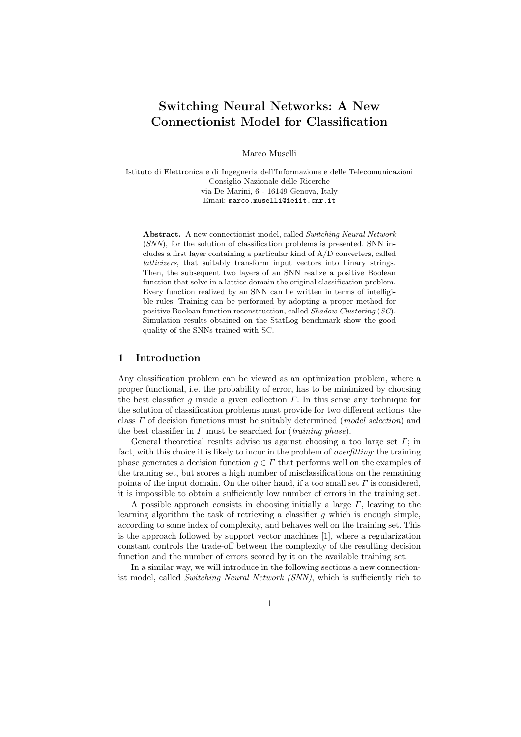# Switching Neural Networks: A New Connectionist Model for Classification

Marco Muselli

Istituto di Elettronica e di Ingegneria dell'Informazione e delle Telecomunicazioni Consiglio Nazionale delle Ricerche via De Marini, 6 - 16149 Genova, Italy Email: marco.muselli@ieiit.cnr.it

Abstract. A new connectionist model, called Switching Neural Network (SNN), for the solution of classification problems is presented. SNN includes a first layer containing a particular kind of A/D converters, called latticizers, that suitably transform input vectors into binary strings. Then, the subsequent two layers of an SNN realize a positive Boolean function that solve in a lattice domain the original classification problem. Every function realized by an SNN can be written in terms of intelligible rules. Training can be performed by adopting a proper method for positive Boolean function reconstruction, called Shadow Clustering (SC). Simulation results obtained on the StatLog benchmark show the good quality of the SNNs trained with SC.

# 1 Introduction

Any classification problem can be viewed as an optimization problem, where a proper functional, i.e. the probability of error, has to be minimized by choosing the best classifier q inside a given collection  $\Gamma$ . In this sense any technique for the solution of classification problems must provide for two different actions: the class  $\Gamma$  of decision functions must be suitably determined (*model selection*) and the best classifier in  $\Gamma$  must be searched for *(training phase)*.

General theoretical results advise us against choosing a too large set  $\Gamma$ ; in fact, with this choice it is likely to incur in the problem of *overfitting*: the training phase generates a decision function  $g \in \Gamma$  that performs well on the examples of the training set, but scores a high number of misclassifications on the remaining points of the input domain. On the other hand, if a too small set  $\Gamma$  is considered, it is impossible to obtain a sufficiently low number of errors in the training set.

A possible approach consists in choosing initially a large  $\Gamma$ , leaving to the learning algorithm the task of retrieving a classifier  $g$  which is enough simple, according to some index of complexity, and behaves well on the training set. This is the approach followed by support vector machines [1], where a regularization constant controls the trade-off between the complexity of the resulting decision function and the number of errors scored by it on the available training set.

In a similar way, we will introduce in the following sections a new connectionist model, called Switching Neural Network (SNN), which is sufficiently rich to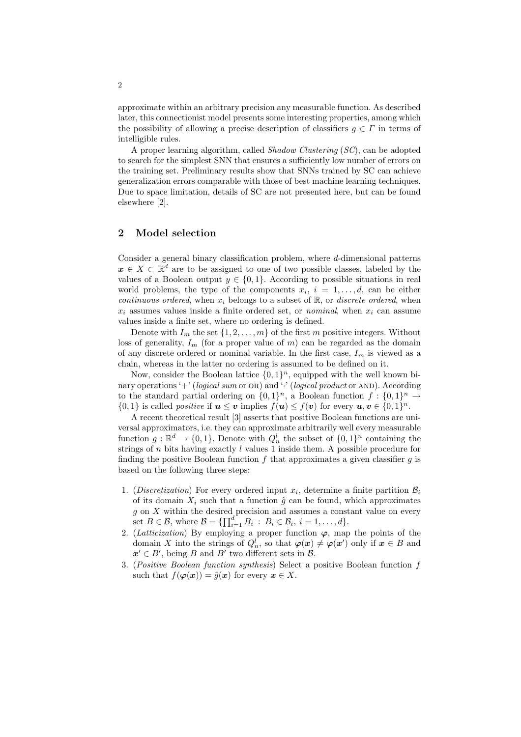approximate within an arbitrary precision any measurable function. As described later, this connectionist model presents some interesting properties, among which the possibility of allowing a precise description of classifiers  $g \in \Gamma$  in terms of intelligible rules.

A proper learning algorithm, called Shadow Clustering (SC), can be adopted to search for the simplest SNN that ensures a sufficiently low number of errors on the training set. Preliminary results show that SNNs trained by SC can achieve generalization errors comparable with those of best machine learning techniques. Due to space limitation, details of SC are not presented here, but can be found elsewhere [2].

# 2 Model selection

Consider a general binary classification problem, where  $d$ -dimensional patterns  $x \in X \subset \mathbb{R}^d$  are to be assigned to one of two possible classes, labeled by the values of a Boolean output  $y \in \{0, 1\}$ . According to possible situations in real world problems, the type of the components  $x_i$ ,  $i = 1, \ldots, d$ , can be either continuous ordered, when  $x_i$  belongs to a subset of  $\mathbb{R}$ , or discrete ordered, when  $x_i$  assumes values inside a finite ordered set, or *nominal*, when  $x_i$  can assume values inside a finite set, where no ordering is defined.

Denote with  $I_m$  the set  $\{1, 2, \ldots, m\}$  of the first m positive integers. Without loss of generality,  $I_m$  (for a proper value of m) can be regarded as the domain of any discrete ordered or nominal variable. In the first case,  $I_m$  is viewed as a chain, whereas in the latter no ordering is assumed to be defined on it.

Now, consider the Boolean lattice  $\{0,1\}^n$ , equipped with the well known binary operations '+' (logical sum or OR) and ' $\cdot$ ' (logical product or AND). According to the standard partial ordering on  $\{0,1\}^n$ , a Boolean function  $f: \{0,1\}^n \to$  $\{0,1\}$  is called *positive* if  $u \leq v$  implies  $f(u) \leq f(v)$  for every  $u, v \in \{0,1\}^n$ .

A recent theoretical result [3] asserts that positive Boolean functions are universal approximators, i.e. they can approximate arbitrarily well every measurable function  $g: \mathbb{R}^d \to \{0,1\}$ . Denote with  $Q_n^l$  the subset of  $\{0,1\}^n$  containing the strings of n bits having exactly l values 1 inside them. A possible procedure for finding the positive Boolean function  $f$  that approximates a given classifier  $q$  is based on the following three steps:

- 1. (Discretization) For every ordered input  $x_i$ , determine a finite partition  $\mathcal{B}_i$ of its domain  $X_i$  such that a function  $\hat{q}$  can be found, which approximates g on X within the desired precision and assumes a constant value on every set  $B \in \mathcal{B}$ , where  $\mathcal{B} = \{\prod_{i=1}^{d} B_i : B_i \in \mathcal{B}_i, i = 1, \ldots, d\}.$
- 2. (Latticization) By employing a proper function  $\varphi$ , map the points of the domain X into the strings of  $Q_n^l$ , so that  $\varphi(x) \neq \varphi(x')$  only if  $x \in B$  and  $x' \in B'$ , being B and B' two different sets in B.
- 3. (Positive Boolean function synthesis) Select a positive Boolean function f such that  $f(\varphi(x)) = \hat{g}(x)$  for every  $x \in X$ .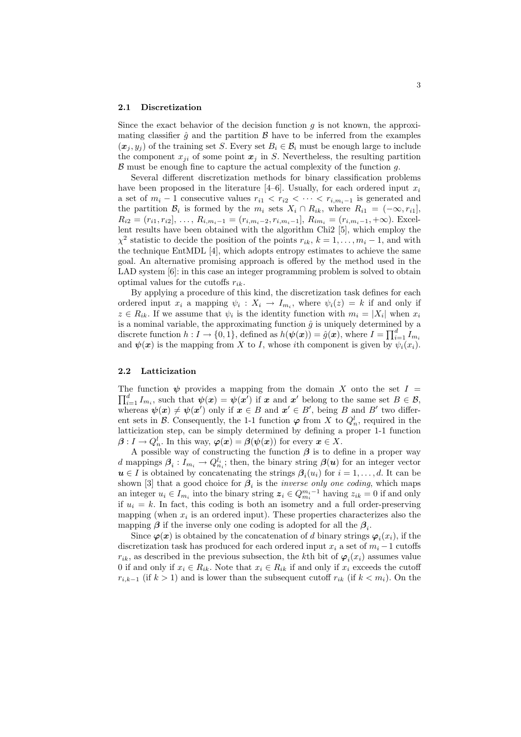#### 2.1 Discretization

Since the exact behavior of the decision function  $q$  is not known, the approximating classifier  $\hat{g}$  and the partition  $\hat{B}$  have to be inferred from the examples  $(x_i, y_i)$  of the training set S. Every set  $B_i \in \mathcal{B}_i$  must be enough large to include the component  $x_{ji}$  of some point  $x_j$  in S. Nevertheless, the resulting partition  $\beta$  must be enough fine to capture the actual complexity of the function  $g$ .

Several different discretization methods for binary classification problems have been proposed in the literature  $[4–6]$ . Usually, for each ordered input  $x_i$ a set of  $m_i - 1$  consecutive values  $r_{i1} < r_{i2} < \cdots < r_{i,m_i-1}$  is generated and the partition  $\mathcal{B}_i$  is formed by the  $m_i$  sets  $X_i \cap R_{ik}$ , where  $R_{i1} = (-\infty, r_{i1}],$  $R_{i2} = (r_{i1}, r_{i2}], \ldots, R_{i,m_i-1} = (r_{i,m_i-2}, r_{i,m_i-1}], R_{im_i} = (r_{i,m_i-1}, +\infty)$ . Excellent results have been obtained with the algorithm Chi2 [5], which employ the  $\chi^2$  statistic to decide the position of the points  $r_{ik}$ ,  $k = 1, \ldots, m_i - 1$ , and with the technique EntMDL [4], which adopts entropy estimates to achieve the same goal. An alternative promising approach is offered by the method used in the LAD system [6]: in this case an integer programming problem is solved to obtain optimal values for the cutoffs  $r_{ik}$ .

By applying a procedure of this kind, the discretization task defines for each ordered input  $x_i$  a mapping  $\psi_i: X_i \to I_{m_i}$ , where  $\psi_i(z) = k$  if and only if  $z \in R_{ik}$ . If we assume that  $\psi_i$  is the identity function with  $m_i = |X_i|$  when  $x_i$ is a nominal variable, the approximating function  $\hat{g}$  is uniquely determined by a<br>discussion function  $h \cdot I_{\alpha}$  (0, 1) defined as  $h(h(x)) = \hat{g}(x)$ , where  $I_{\alpha} = \prod^{d} I_{\alpha}$ discrete function  $h: I \to \{0,1\}$ , defined as  $h(\boldsymbol{\psi}(\boldsymbol{x})) = \hat{g}(\boldsymbol{x})$ , where  $I = \prod_{i=1}^{d} I_{m_i}$ and  $\psi(x)$  is the mapping from X to I, whose ith component is given by  $\psi_i(x_i)$ .

### 2.2 Latticization

The function  $\psi$  provides a mapping from the domain X onto the set  $I = \mathbb{Z}^d$  $\psi_{i=1}^d I_{m_i}$ , such that  $\psi(x) = \psi(x')$  if x and x' belong to the same set  $B \in \mathcal{B}$ , whereas  $\psi(x) \neq \psi(x')$  only if  $x \in B$  and  $x' \in B'$ , being B and B' two different sets in  $\mathcal{B}$ . Consequently, the 1-1 function  $\varphi$  from X to  $Q_n^l$ , required in the latticization step, can be simply determined by defining a proper 1-1 function  $\boldsymbol{\beta}: I \to Q_n^l$ . In this way,  $\boldsymbol{\varphi}(\boldsymbol{x}) = \boldsymbol{\beta}(\boldsymbol{\psi}(\boldsymbol{x}))$  for every  $\boldsymbol{x} \in X$ .

A possible way of constructing the function  $\beta$  is to define in a proper way d mappings  $\beta_i: I_{m_i} \to Q_{n_i}^{l_i}$ ; then, the binary string  $\beta(u)$  for an integer vector  $u \in I$  is obtained by concatenating the strings  $\beta_i(u_i)$  for  $i = 1, \ldots, d$ . It can be shown [3] that a good choice for  $\beta_i$  is the *inverse only one coding*, which maps an integer  $u_i \in I_{m_i}$  into the binary string  $z_i \in Q_{m_i}^{m_i-1}$  having  $z_{ik} = 0$  if and only if  $u_i = k$ . In fact, this coding is both an isometry and a full order-preserving mapping (when  $x_i$  is an ordered input). These properties characterizes also the mapping  $\beta$  if the inverse only one coding is adopted for all the  $\beta_i$ .

Since  $\varphi(x)$  is obtained by the concatenation of d binary strings  $\varphi_i(x_i)$ , if the discretization task has produced for each ordered input  $x_i$  a set of  $m_i - 1$  cutoffs  $r_{ik}$ , as described in the previous subsection, the k<sup>th</sup> bit of  $\varphi_i(x_i)$  assumes value 0 if and only if  $x_i \in R_{ik}$ . Note that  $x_i \in R_{ik}$  if and only if  $x_i$  exceeds the cutoff  $r_{i,k-1}$  (if  $k > 1$ ) and is lower than the subsequent cutoff  $r_{ik}$  (if  $k < m_i$ ). On the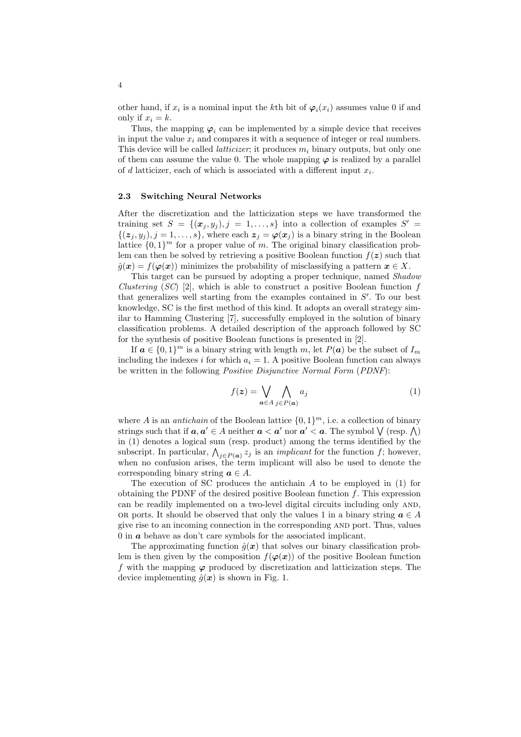other hand, if  $x_i$  is a nominal input the k<sup>th</sup> bit of  $\varphi_i(x_i)$  assumes value 0 if and only if  $x_i = k$ .

Thus, the mapping  $\varphi_i$  can be implemented by a simple device that receives in input the value  $x_i$  and compares it with a sequence of integer or real numbers. This device will be called *latticizer*; it produces  $m_i$  binary outputs, but only one of them can assume the value 0. The whole mapping  $\varphi$  is realized by a parallel of d latticizer, each of which is associated with a different input  $x_i$ .

#### 2.3 Switching Neural Networks

After the discretization and the latticization steps we have transformed the training set  $S = \{(\mathbf{x}_j, y_j), j = 1, \ldots, s\}$  into a collection of examples  $S' =$  $\{(z_i, y_i), j = 1, \ldots, s\},\$  where each  $z_j = \varphi(x_j)$  is a binary string in the Boolean lattice  $\{0,1\}^m$  for a proper value of m. The original binary classification problem can then be solved by retrieving a positive Boolean function  $f(z)$  such that  $\hat{g}(\boldsymbol{x}) = f(\boldsymbol{\varphi}(\boldsymbol{x}))$  minimizes the probability of misclassifying a pattern  $\boldsymbol{x} \in X$ .

This target can be pursued by adopting a proper technique, named Shadow Clustering  $(SC)$  [2], which is able to construct a positive Boolean function f that generalizes well starting from the examples contained in  $S'$ . To our best knowledge, SC is the first method of this kind. It adopts an overall strategy similar to Hamming Clustering [7], successfully employed in the solution of binary classification problems. A detailed description of the approach followed by SC for the synthesis of positive Boolean functions is presented in [2].

If  $a \in \{0,1\}^m$  is a binary string with length m, let  $P(a)$  be the subset of  $I_m$ including the indexes i for which  $a_i = 1$ . A positive Boolean function can always be written in the following *Positive Disjunctive Normal Form* (*PDNF*):

$$
f(z) = \bigvee_{\mathbf{a} \in A} \bigwedge_{j \in P(\mathbf{a})} a_j \tag{1}
$$

where A is an *antichain* of the Boolean lattice  $\{0,1\}^m$ , i.e. a collection of binary where A is an *anucham* of the boolean lattice  $\{0, 1\}^{\ldots}$ , i.e. a conection of binary<br>strings such that if  $a, a' \in A$  neither  $a < a'$  nor  $a' < a$ . The symbol  $\bigvee$  (resp.  $\bigwedge$ ) in (1) denotes a logical sum (resp. product) among the terms identified by the In (1) denotes a logical sum (resp. product) allong the terms identified by the subscript. In particular,  $\bigwedge_{j \in P(\boldsymbol{\alpha})} z_j$  is an *implicant* for the function f; however, when no confusion arises, the term implicant will also be used to denote the corresponding binary string  $a \in A$ .

The execution of SC produces the antichain A to be employed in (1) for obtaining the PDNF of the desired positive Boolean function  $f$ . This expression can be readily implemented on a two-level digital circuits including only AND, OR ports. It should be observed that only the values 1 in a binary string  $a \in A$ give rise to an incoming connection in the corresponding and port. Thus, values  $0$  in  $\boldsymbol{a}$  behave as don't care symbols for the associated implicant.

The approximating function  $\hat{g}(x)$  that solves our binary classification problem is then given by the composition  $f(\varphi(x))$  of the positive Boolean function f with the mapping  $\varphi$  produced by discretization and latticization steps. The device implementing  $\hat{q}(x)$  is shown in Fig. 1.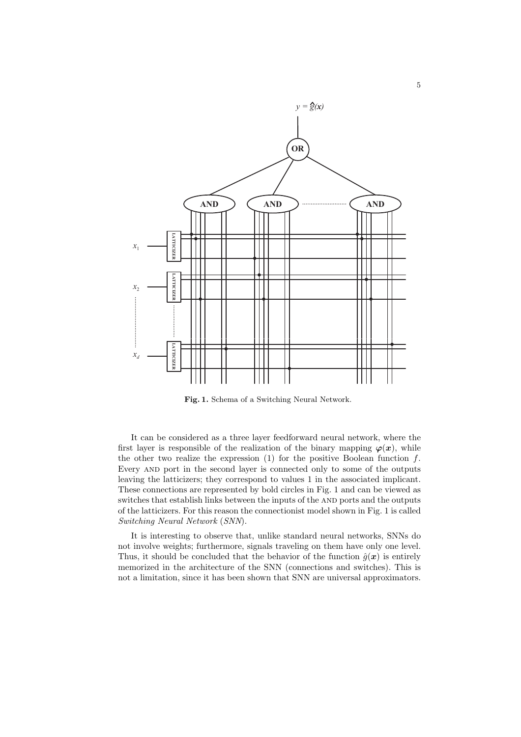

Fig. 1. Schema of a Switching Neural Network.

It can be considered as a three layer feedforward neural network, where the first layer is responsible of the realization of the binary mapping  $\varphi(x)$ , while the other two realize the expression  $(1)$  for the positive Boolean function f. Every and port in the second layer is connected only to some of the outputs leaving the latticizers; they correspond to values 1 in the associated implicant. These connections are represented by bold circles in Fig. 1 and can be viewed as switches that establish links between the inputs of the AND ports and the outputs of the latticizers. For this reason the connectionist model shown in Fig. 1 is called Switching Neural Network (SNN).

It is interesting to observe that, unlike standard neural networks, SNNs do not involve weights; furthermore, signals traveling on them have only one level. Thus, it should be concluded that the behavior of the function  $\hat{g}(x)$  is entirely memorized in the architecture of the SNN (connections and switches). This is not a limitation, since it has been shown that SNN are universal approximators.

5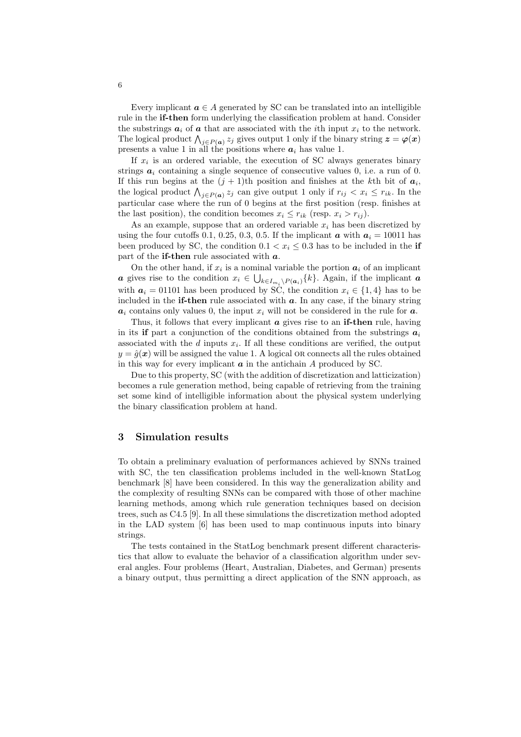Every implicant  $a \in A$  generated by SC can be translated into an intelligible rule in the **if-then** form underlying the classification problem at hand. Consider the substrings  $a_i$  of  $a$  that are associated with the *i*th input  $x_i$  to the network. The substrings  $a_i$  of  $a$  that are associated with the tent input  $x_i$  to the network.<br>The logical product  $\bigwedge_{j\in P(a)} z_j$  gives output 1 only if the binary string  $z = \varphi(x)$ presents a value 1 in all the positions where  $a_i$  has value 1.

If  $x_i$  is an ordered variable, the execution of SC always generates binary strings  $a_i$  containing a single sequence of consecutive values 0, i.e. a run of 0. If this run begins at the  $(j + 1)$ th position and finishes at the kth bit of  $a_i$ , the logical product  $\bigwedge_{j\in P(\boldsymbol{a})} z_j$  can give output 1 only if  $r_{ij} < x_i \leq r_{ik}$ . In the particular case where the run of 0 begins at the first position (resp. finishes at the last position), the condition becomes  $x_i \leq r_{ik}$  (resp.  $x_i > r_{ij}$ ).

As an example, suppose that an ordered variable  $x_i$  has been discretized by using the four cutoffs 0.1, 0.25, 0.3, 0.5. If the implicant  $\boldsymbol{a}$  with  $\boldsymbol{a}_i = 10011$  has been produced by SC, the condition  $0.1 < x_i \leq 0.3$  has to be included in the if part of the if-then rule associated with  $a$ .

On the other hand, if  $x_i$  is a nominal variable the portion  $a_i$  of an implicant **a** gives rise to the condition  $x_i \in \bigcup_{k \in I_{m_i} \backslash P(a_i)} \{k\}$ . Again, if the implicant **a** with  $a_i = 01101$  has been produced by SC, the condition  $x_i \in \{1, 4\}$  has to be included in the **if-then** rule associated with  $a$ . In any case, if the binary string  $a_i$  contains only values 0, the input  $x_i$  will not be considered in the rule for  $a$ .

Thus, it follows that every implicant  $\boldsymbol{a}$  gives rise to an **if-then** rule, having in its if part a conjunction of the conditions obtained from the substrings  $a_i$ associated with the  $d$  inputs  $x_i$ . If all these conditions are verified, the output  $y = \hat{q}(x)$  will be assigned the value 1. A logical OR connects all the rules obtained in this way for every implicant  $\boldsymbol{a}$  in the antichain  $\boldsymbol{A}$  produced by SC.

Due to this property, SC (with the addition of discretization and latticization) becomes a rule generation method, being capable of retrieving from the training set some kind of intelligible information about the physical system underlying the binary classification problem at hand.

# 3 Simulation results

To obtain a preliminary evaluation of performances achieved by SNNs trained with SC, the ten classification problems included in the well-known StatLog benchmark [8] have been considered. In this way the generalization ability and the complexity of resulting SNNs can be compared with those of other machine learning methods, among which rule generation techniques based on decision trees, such as C4.5 [9]. In all these simulations the discretization method adopted in the LAD system [6] has been used to map continuous inputs into binary strings.

The tests contained in the StatLog benchmark present different characteristics that allow to evaluate the behavior of a classification algorithm under several angles. Four problems (Heart, Australian, Diabetes, and German) presents a binary output, thus permitting a direct application of the SNN approach, as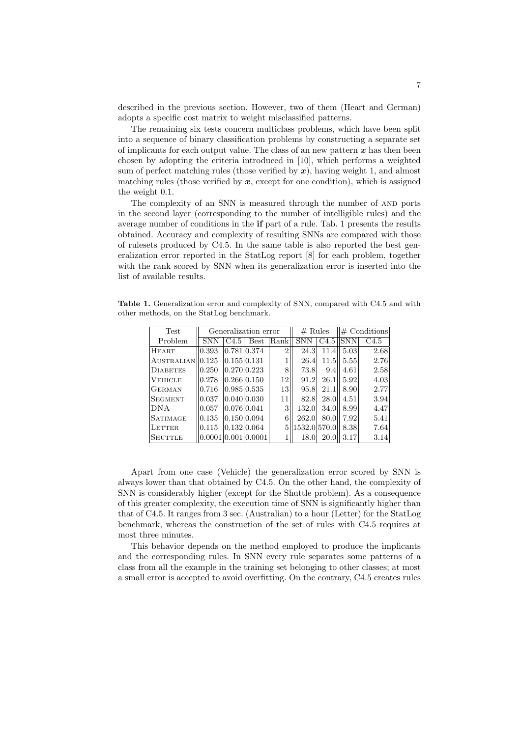described in the previous section. However, two of them (Heart and German) adopts a specific cost matrix to weight misclassified patterns.

The remaining six tests concern multiclass problems, which have been split into a sequence of binary classification problems by constructing a separate set of implicants for each output value. The class of an new pattern  $x$  has then been chosen by adopting the criteria introduced in [10], which performs a weighted sum of perfect matching rules (those verified by  $x$ ), having weight 1, and almost matching rules (those verified by  $x$ , except for one condition), which is assigned the weight 0.1.

The complexity of an SNN is measured through the number of and ports in the second layer (corresponding to the number of intelligible rules) and the average number of conditions in the if part of a rule. Tab. 1 presents the results obtained. Accuracy and complexity of resulting SNNs are compared with those of rulesets produced by C4.5. In the same table is also reported the best generalization error reported in the StatLog report [8] for each problem, together with the rank scored by SNN when its generalization error is inserted into the list of available results.

Table 1. Generalization error and complexity of SNN, compared with C4.5 and with other methods, on the StatLog benchmark.

| Test                         | Generalization error |      |                  | # Rules        |              | $\#$ Conditions |      |                  |
|------------------------------|----------------------|------|------------------|----------------|--------------|-----------------|------|------------------|
| Problem                      | <b>SNN</b>           | C4.5 | Best             | Rank           | <b>SNN</b>   | $C4.5$ SNN      |      | C <sub>4.5</sub> |
| HEART                        | 0.393                |      | 0.781 0.374      | $\overline{2}$ | 24.3         | 11.4            | 5.03 | 2.68             |
| AUSTRALIAN <sub>10.125</sub> |                      |      | 0.155 0.131      |                | 26.4         | 11.5            | 5.55 | 2.76             |
| DIABETES                     | 0.250                |      | 0.270 0.223      | 8              | 73.8         | 9.4             | 4.61 | 2.58             |
| <b>VEHICLE</b>               | 0.278                |      | 0.266 0.150      | 12             | 91.2         | 26.1            | 5.92 | 4.03             |
| <b>GERMAN</b>                | 0.716                |      | $0.985 \, 0.535$ | 3              | 95.8         | 21.1            | 8.90 | 2.77             |
| <b>SEGMENT</b>               | 0.037                |      | $0.040\,0.030$   | 11             | 82.8         | 28.0            | 4.51 | 3.94             |
| <b>DNA</b>                   | 0.057                |      | 0.076 0.041      | 3              | 132.0        | 34.0            | 8.99 | 4.47             |
| <b>SATIMAGE</b>              | 0.135                |      | 0.150 0.094      | 6              | 262.0        | 80.01           | 7.92 | 5.41             |
| LETTER.                      | 0.115                |      | 0.132 0.064      | 5              | 1532.0 570.0 |                 | 8.38 | 7.64             |
| <b>SHUTTLE</b>               | 0.0001               |      | 0.00110.0001     |                | 18.0         | 20.0            | 3.17 | 3.14             |

Apart from one case (Vehicle) the generalization error scored by SNN is always lower than that obtained by C4.5. On the other hand, the complexity of SNN is considerably higher (except for the Shuttle problem). As a consequence of this greater complexity, the execution time of SNN is significantly higher than that of C4.5. It ranges from 3 sec. (Australian) to a hour (Letter) for the StatLog benchmark, whereas the construction of the set of rules with C4.5 requires at most three minutes.

This behavior depends on the method employed to produce the implicants and the corresponding rules. In SNN every rule separates some patterns of a class from all the example in the training set belonging to other classes; at most a small error is accepted to avoid overfitting. On the contrary, C4.5 creates rules